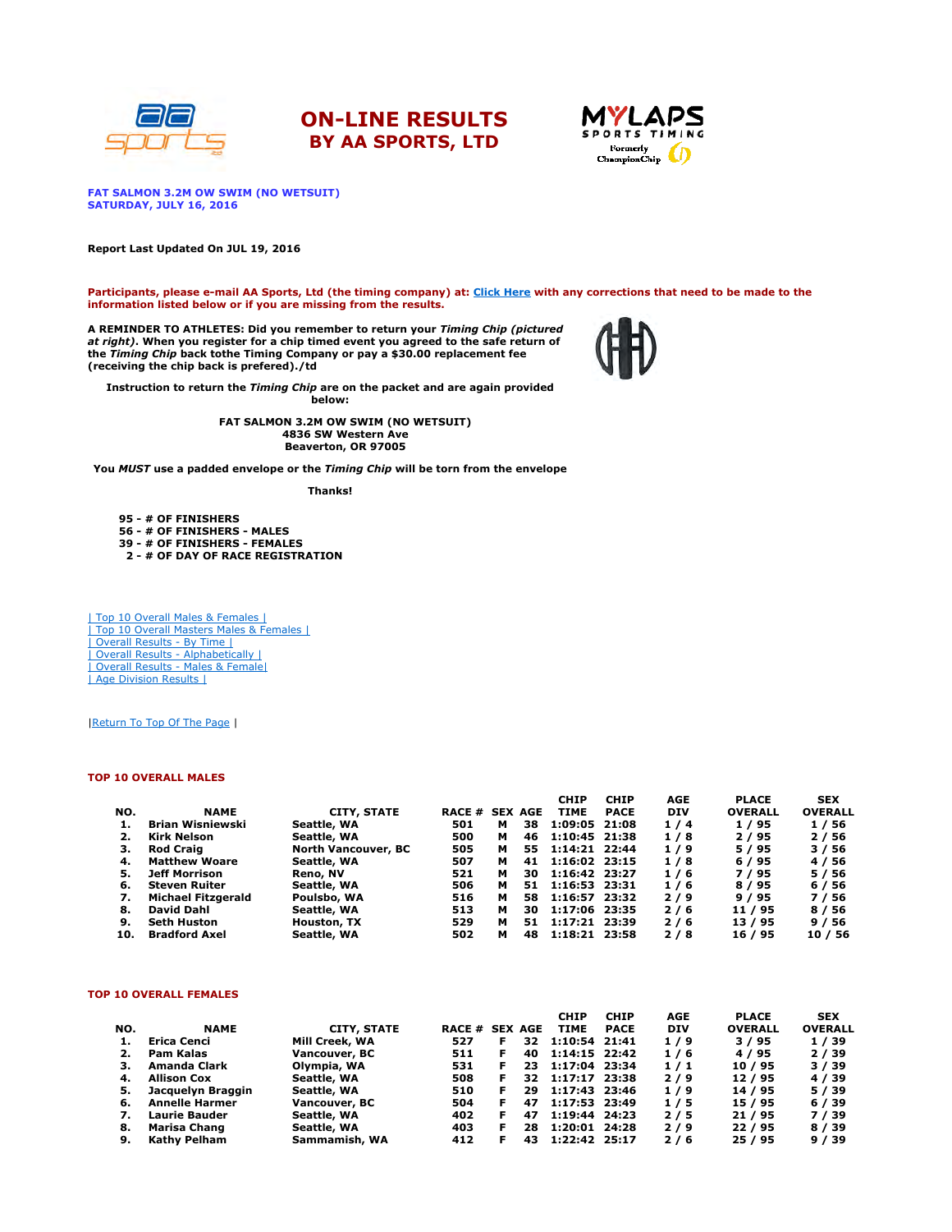





FAT SALMON 3.2M OW SWIM (NO WETSUIT) SATURDAY, JULY 16, 2016

Report Last Updated On JUL 19, 2016

Participants, please e-mail AA Sports, Ltd (the timing company) at: Click Here with any corrections that need to be made to the information listed below or if you are missing from the results.

A REMINDER TO ATHLETES: Did you remember to return your *Timing Chip (pictured*<br>*at right)*. When you register for a chip timed event you agreed to the safe return of the Timing Chip back tothe Timing Company or pay a \$30.00 replacement fee (receiving the chip back is prefered)./td



Instruction to return the Timing Chip are on the packet and are again provided

below:

FAT SALMON 3.2M OW SWIM (NO WETSUIT) 4836 SW Western Ave Beaverton, OR 97005

You MUST use a padded envelope or the Timing Chip will be torn from the envelope

Thanks!

95 - # OF FINISHERS 56 - # OF FINISHERS - MALES 39 - # OF FINISHERS - FEMALES 2 - # OF DAY OF RACE REGISTRATION

| Top 10 Overall Males & Females | | Top 10 Overall Masters Males & Females | | Overall Results - By Time | | Overall Results - Alphabetically | | Overall Results - Males & Female| | Age Division Results |

|Return To Top Of The Page |

#### TOP 10 OVERALL MALES

|     |                           |                            |                       |   |    | <b>CHIP</b>   | <b>CHIP</b> | <b>AGE</b> | <b>PLACE</b>   | <b>SEX</b>     |
|-----|---------------------------|----------------------------|-----------------------|---|----|---------------|-------------|------------|----------------|----------------|
| NO. | <b>NAME</b>               | <b>CITY, STATE</b>         | <b>RACE # SEX AGE</b> |   |    | <b>TIME</b>   | <b>PACE</b> | <b>DIV</b> | <b>OVERALL</b> | <b>OVERALL</b> |
|     | Brian Wisniewski          | Seattle, WA                | 501                   | м | 38 | 1:09:05 21:08 |             | 1/4        | 1/95           | 1/56           |
| 2.  | Kirk Nelson               | Seattle, WA                | 500                   | м | 46 | 1:10:45 21:38 |             | 1/8        | 2/95           | 2/56           |
| з.  | <b>Rod Craig</b>          | <b>North Vancouver, BC</b> | 505                   | м | 55 | 1:14:21 22:44 |             | 1/9        | 5/95           | 3/56           |
| 4.  | <b>Matthew Woare</b>      | Seattle, WA                | 507                   | м | 41 | 1:16:02 23:15 |             | 1/8        | 6 / 95         | 4 / 56         |
| 5.  | Jeff Morrison             | Reno, NV                   | 521                   | м | 30 | 1:16:42 23:27 |             | 1/6        | 7/95           | 5 / 56         |
| 6.  | <b>Steven Ruiter</b>      | Seattle, WA                | 506                   | м | 51 | 1:16:53 23:31 |             | 1/6        | 8/95           | 6 / 56         |
| 7.  | <b>Michael Fitzgerald</b> | Poulsbo, WA                | 516                   | м | 58 | 1:16:57 23:32 |             | 2/9        | 9/95           | 7/56           |
| 8.  | <b>David Dahl</b>         | Seattle, WA                | 513                   | м | 30 | 1:17:06 23:35 |             | 2/6        | 11 / 95        | 8 / 56         |
| 9.  | <b>Seth Huston</b>        | Houston, TX                | 529                   | м | 51 | 1:17:21 23:39 |             | 2/6        | 13/95          | 9/56           |
| 10. | <b>Bradford Axel</b>      | Seattle, WA                | 502                   | м | 48 | 1:18:21 23:58 |             | 2/8        | 16 / 95        | 10/56          |

#### TOP 10 OVERALL FEMALES

|     |                       |                    |                |   |     | <b>CHIP</b>   | <b>CHIP</b> | AGE        | <b>PLACE</b>   | <b>SEX</b>     |
|-----|-----------------------|--------------------|----------------|---|-----|---------------|-------------|------------|----------------|----------------|
| NO. | <b>NAME</b>           | <b>CITY, STATE</b> | RACE # SEX AGE |   |     | <b>TIME</b>   | <b>PACE</b> | <b>DIV</b> | <b>OVERALL</b> | <b>OVERALL</b> |
|     | Erica Cenci           | Mill Creek, WA     | 527            |   | 32. | 1:10:54 21:41 |             | 1/9        | 3/95           | 1/39           |
| 2.  | Pam Kalas             | Vancouver, BC      | 511            |   | 40  | 1:14:15 22:42 |             | 1/6        | 4/95           | 2/39           |
|     | Amanda Clark          | Olympia, WA        | 531            |   | 23. | 1:17:04 23:34 |             | 1/1        | 10/95          | 3 / 39         |
| 4.  | <b>Allison Cox</b>    | Seattle, WA        | 508            |   | 32. | 1:17:17 23:38 |             | $2/9$      | 12/95          | 4 / 39         |
| 5.  | Jacquelyn Braggin     | Seattle, WA        | 510            | F | 29  | 1:17:43 23:46 |             | 1/9        | 14 / 95        | 5/39           |
| 6.  | <b>Annelle Harmer</b> | Vancouver, BC      | 504            |   | 47  | 1:17:53 23:49 |             | 1/5        | 15 / 95        | 6/39           |
| 7.  | <b>Laurie Bauder</b>  | Seattle, WA        | 402            |   | 47  | 1:19:44 24:23 |             | 2/5        | 21/95          | 7/39           |
| 8.  | Marisa Chang          | Seattle, WA        | 403            |   | 28  | 1:20:01 24:28 |             | 2/9        | 22/95          | 8 / 39         |
| 9.  | <b>Kathy Pelham</b>   | Sammamish, WA      | 412            |   | 43. | 1:22:42 25:17 |             | 2/6        | 25 / 95        | 9/39           |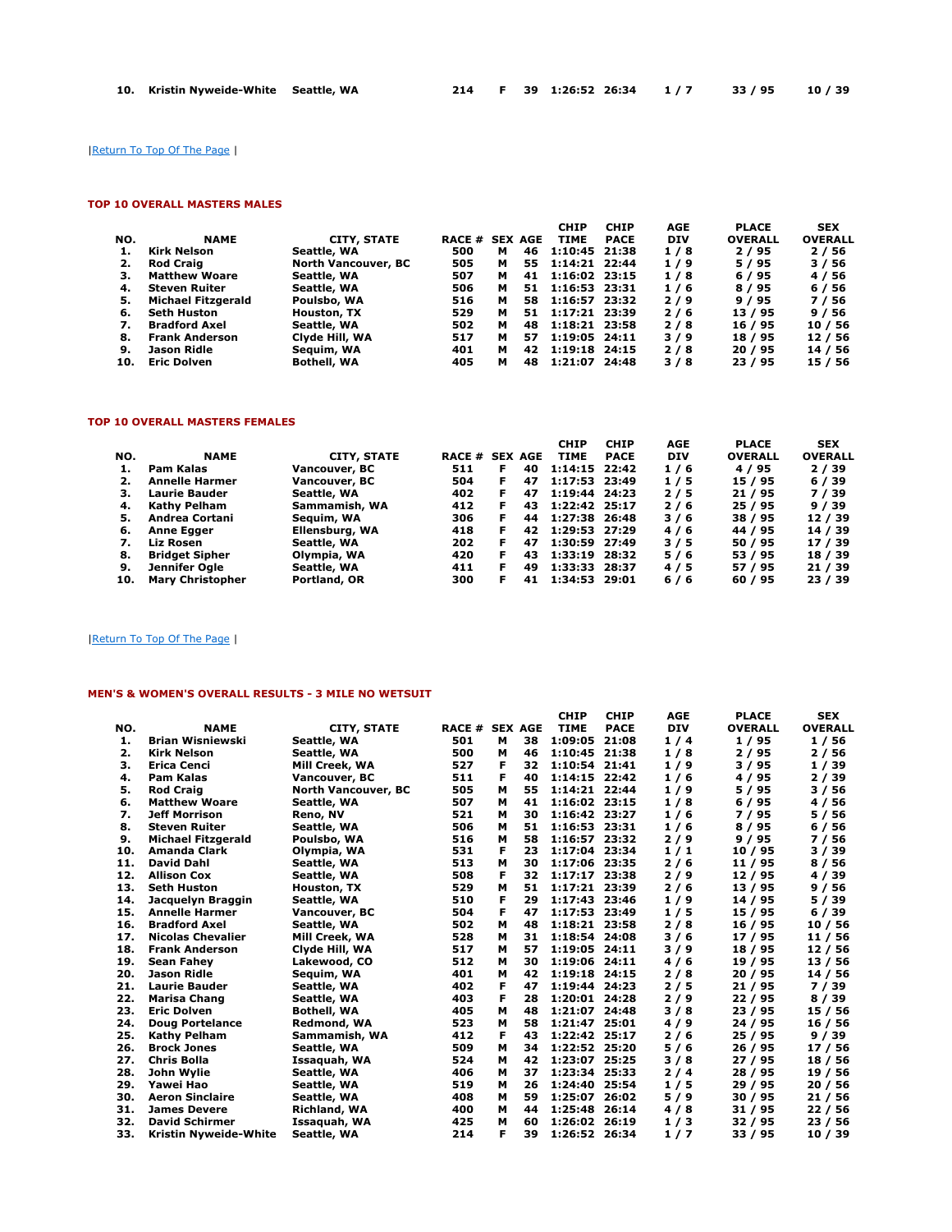# |Return To Top Of The Page |

### TOP 10 OVERALL MASTERS MALES

|     |                           |                            |        |   |                | <b>CHIP</b>   | <b>CHIP</b> | <b>AGE</b> | <b>PLACE</b>   | <b>SEX</b>     |
|-----|---------------------------|----------------------------|--------|---|----------------|---------------|-------------|------------|----------------|----------------|
| NO. | <b>NAME</b>               | <b>CITY, STATE</b>         | RACE # |   | <b>SEX AGE</b> | TIME          | <b>PACE</b> | <b>DIV</b> | <b>OVERALL</b> | <b>OVERALL</b> |
| 1.  | Kirk Nelson               | Seattle, WA                | 500    | м | 46             | 1:10:45 21:38 |             | 1/8        | 2/95           | 2/56           |
| 2.  | <b>Rod Craig</b>          | <b>North Vancouver, BC</b> | 505    | м | 55             | 1:14:21 22:44 |             | 1/9        | 5/95           | 3/56           |
| з.  | <b>Matthew Woare</b>      | Seattle, WA                | 507    | м | 41             | 1:16:02 23:15 |             | 1/8        | 6/95           | 4 / 56         |
| 4.  | <b>Steven Ruiter</b>      | Seattle, WA                | 506    | м | 51             | 1:16:53 23:31 |             | 1/6        | 8 / 95         | 6 / 56         |
| 5.  | <b>Michael Fitzgerald</b> | Poulsbo, WA                | 516    | м | 58             | 1:16:57 23:32 |             | 2/9        | 9/95           | 7 / 56         |
| 6.  | Seth Huston               | Houston, TX                | 529    | м | 51             | 1:17:21 23:39 |             | 2/6        | 13/95          | 9/56           |
| 7.  | <b>Bradford Axel</b>      | Seattle, WA                | 502    | м | 48             | 1:18:21 23:58 |             | 2/8        | 16 / 95        | 10 / 56        |
| 8.  | <b>Frank Anderson</b>     | Clyde Hill, WA             | 517    | м | 57             | 1:19:05 24:11 |             | 3/9        | 18 / 95        | 12/56          |
| 9.  | Jason Ridle               | Seauim, WA                 | 401    | м | 42             | 1:19:18 24:15 |             | 2/8        | 20/95          | 14 / 56        |
| 10. | <b>Eric Dolven</b>        | <b>Bothell, WA</b>         | 405    | м | 48             | 1:21:07 24:48 |             | 3/8        | 23 / 95        | 15 / 56        |

## TOP 10 OVERALL MASTERS FEMALES

|     |                         |                    |                |    |    | <b>CHIP</b>     | <b>CHIP</b> | AGE        | <b>PLACE</b>   | <b>SEX</b>     |
|-----|-------------------------|--------------------|----------------|----|----|-----------------|-------------|------------|----------------|----------------|
| NO. | <b>NAME</b>             | <b>CITY, STATE</b> | RACE # SEX AGE |    |    | <b>TIME</b>     | <b>PACE</b> | <b>DIV</b> | <b>OVERALL</b> | <b>OVERALL</b> |
|     | Pam Kalas               | Vancouver, BC      | 511            | F  | 40 | $1:14:15$ 22:42 |             | 1/6        | 4 / 95         | 2/39           |
|     | <b>Annelle Harmer</b>   | Vancouver, BC      | 504            | F. | 47 | 1:17:53 23:49   |             | 1/5        | 15 / 95        | 6/39           |
| з.  | <b>Laurie Bauder</b>    | Seattle, WA        | 402            | F. | 47 | 1:19:44 24:23   |             | 2/5        | 21 / 95        | 7/39           |
| 4.  | Kathy Pelham            | Sammamish, WA      | 412            |    | 43 | 1:22:42 25:17   |             | 2/6        | 25 / 95        | 9/39           |
| 5.  | Andrea Cortani          | Seguim, WA         | 306            |    | 44 | 1:27:38 26:48   |             | 3/6        | 38 / 95        | 12/39          |
| 6.  | <b>Anne Egger</b>       | Ellensburg, WA     | 418            | F. | 42 | 1:29:53 27:29   |             | 4/6        | 44 / 95        | 14 / 39        |
| 7.  | Liz Rosen               | Seattle, WA        | 202            | F. | 47 | 1:30:59 27:49   |             | 3/5        | 50 / 95        | 17 / 39        |
| 8.  | <b>Bridget Sipher</b>   | Olympia, WA        | 420            | F  | 43 | 1:33:19 28:32   |             | 5/6        | 53 / 95        | 18 / 39        |
| 9.  | Jennifer Ogle           | Seattle, WA        | 411            |    | 49 | 1:33:33 28:37   |             | 4/5        | 57 / 95        | 21/39          |
| 10. | <b>Mary Christopher</b> | Portland, OR       | 300            |    | 41 | 1:34:53 29:01   |             | 6/6        | 60/95          | 23 / 39        |

### |Return To Top Of The Page |

### MEN'S & WOMEN'S OVERALL RESULTS - 3 MILE NO WETSUIT

|     |                           |                            |                       |   |    | <b>CHIP</b>     | <b>CHIP</b> | <b>AGE</b> | <b>PLACE</b>   | <b>SEX</b>     |
|-----|---------------------------|----------------------------|-----------------------|---|----|-----------------|-------------|------------|----------------|----------------|
| NO. | <b>NAME</b>               | <b>CITY, STATE</b>         | <b>RACE # SEX AGE</b> |   |    | <b>TIME</b>     | <b>PACE</b> | <b>DIV</b> | <b>OVERALL</b> | <b>OVERALL</b> |
| 1.  | <b>Brian Wisniewski</b>   | Seattle, WA                | 501                   | м | 38 | 1:09:05         | 21:08       | 1/4        | 1/95           | 1/56           |
| 2.  | Kirk Nelson               | Seattle, WA                | 500                   | м | 46 | 1:10:45 21:38   |             | 1/8        | 2/95           | 2 / 56         |
| з.  | <b>Erica Cenci</b>        | Mill Creek, WA             | 527                   | F | 32 | 1:10:54 21:41   |             | 1/9        | 3/95           | 1/39           |
| 4.  | <b>Pam Kalas</b>          | Vancouver, BC              | 511                   | F | 40 | 1:14:15 22:42   |             | 1/6        | 4/95           | 2/39           |
| 5.  | <b>Rod Craig</b>          | <b>North Vancouver, BC</b> | 505                   | м | 55 | 1:14:21 22:44   |             | 1/9        | 5/95           | 3/56           |
| 6.  | <b>Matthew Woare</b>      | Seattle, WA                | 507                   | м | 41 | 1:16:02 23:15   |             | 1/8        | 6/95           | 4/56           |
| 7.  | <b>Jeff Morrison</b>      | Reno, NV                   | 521                   | м | 30 | 1:16:42 23:27   |             | 1/6        | 7/95           | 5 / 56         |
| 8.  | <b>Steven Ruiter</b>      | Seattle, WA                | 506                   | м | 51 | $1:16:53$ 23:31 |             | 1/6        | 8/95           | 6/56           |
| 9.  | <b>Michael Fitzgerald</b> | Poulsbo, WA                | 516                   | м | 58 | 1:16:57 23:32   |             | 2/9        | 9/95           | 7 / 56         |
| 10. | <b>Amanda Clark</b>       | Olympia, WA                | 531                   | F | 23 | 1:17:04 23:34   |             | 1/1        | 10/95          | 3/39           |
| 11. | <b>David Dahl</b>         | Seattle, WA                | 513                   | м | 30 | 1:17:06 23:35   |             | 2/6        | 11 / 95        | 8 / 56         |
| 12. | <b>Allison Cox</b>        | Seattle, WA                | 508                   | F | 32 | 1:17:17         | 23:38       | 2/9        | 12/95          | 4/39           |
| 13. | <b>Seth Huston</b>        | Houston, TX                | 529                   | м | 51 | 1:17:21 23:39   |             | 2/6        | 13 / 95        | 9/56           |
| 14. | Jacquelyn Braggin         | Seattle, WA                | 510                   | F | 29 | 1:17:43         | 23:46       | 1/9        | 14 / 95        | 5 / 39         |
| 15. | <b>Annelle Harmer</b>     | Vancouver, BC              | 504                   | F | 47 | 1:17:53         | 23:49       | 1/5        | 15/95          | 6/39           |
| 16. | <b>Bradford Axel</b>      | Seattle, WA                | 502                   | м | 48 | 1:18:21 23:58   |             | 2/8        | 16/95          | 10/56          |
| 17. | <b>Nicolas Chevalier</b>  | Mill Creek, WA             | 528                   | м | 31 | 1:18:54 24:08   |             | 3/6        | 17/95          | 11 / 56        |
| 18. | <b>Frank Anderson</b>     | Clyde Hill, WA             | 517                   | м | 57 | 1:19:05 24:11   |             | 3/9        | 18 / 95        | 12/56          |
| 19. | <b>Sean Fahev</b>         | Lakewood, CO               | 512                   | м | 30 | 1:19:06 24:11   |             | 4/6        | 19 / 95        | 13/56          |
| 20. | Jason Ridle               | Sequim, WA                 | 401                   | м | 42 | 1:19:18 24:15   |             | 2/8        | 20/95          | 14 / 56        |
| 21. | <b>Laurie Bauder</b>      | Seattle, WA                | 402                   | F | 47 | 1:19:44 24:23   |             | 2/5        | 21/95          | 7/39           |
| 22. | <b>Marisa Chang</b>       | Seattle, WA                | 403                   | F | 28 | 1:20:01 24:28   |             | 2/9        | 22/95          | 8/39           |
| 23. | <b>Eric Dolven</b>        | <b>Bothell, WA</b>         | 405                   | м | 48 | 1:21:07 24:48   |             | 3/8        | 23/95          | 15 / 56        |
| 24. | <b>Doug Portelance</b>    | Redmond, WA                | 523                   | м | 58 | 1:21:47 25:01   |             | 4/9        | 24/95          | 16 / 56        |
| 25. | <b>Kathy Pelham</b>       | Sammamish, WA              | 412                   | F | 43 | 1:22:42 25:17   |             | 2/6        | 25/95          | 9/39           |
| 26. | <b>Brock Jones</b>        | Seattle, WA                | 509                   | м | 34 | 1:22:52 25:20   |             | 5/6        | 26/95          | 17/56          |
| 27. | <b>Chris Bolla</b>        | Issaquah, WA               | 524                   | м | 42 | 1:23:07 25:25   |             | 3/8        | 27/95          | 18 / 56        |
| 28. | John Wylie                | Seattle, WA                | 406                   | м | 37 | 1:23:34 25:33   |             | 2/4        | 28 / 95        | 19 / 56        |
| 29. | Yawei Hao                 | Seattle, WA                | 519                   | м | 26 | 1:24:40 25:54   |             | 1/5        | 29/95          | 20 / 56        |
| 30. | <b>Aeron Sinclaire</b>    | Seattle, WA                | 408                   | м | 59 | 1:25:07         | 26:02       | 5/9        | 30/95          | 21 / 56        |
| 31. | <b>James Devere</b>       | <b>Richland, WA</b>        | 400                   | м | 44 | 1:25:48         | 26:14       | 4/8        | 31 / 95        | 22/56          |
| 32. | <b>David Schirmer</b>     | Issaquah, WA               | 425                   | м | 60 | 1:26:02         | 26:19       | 1/3        | 32/95          | 23/56          |
| 33. | Kristin Nyweide-White     | Seattle, WA                | 214                   | F | 39 | 1:26:52 26:34   |             | 1/7        | 33 / 95        | 10 / 39        |